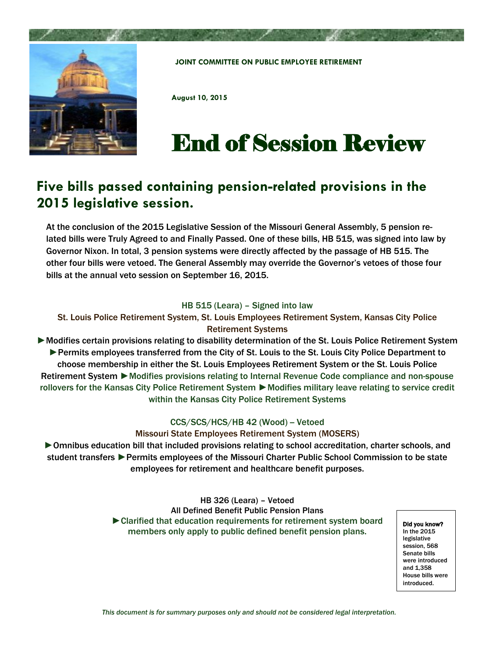

**JOINT COMMITTEE ON PUBLIC EMPLOYEE RETIREMENT**

**August 10, 2015**

## End of Session Review

## **Five bills passed containing pension-related provisions in the 2015 legislative session.**

At the conclusion of the 2015 Legislative Session of the Missouri General Assembly, 5 pension related bills were Truly Agreed to and Finally Passed. One of these bills, HB 515, was signed into law by Governor Nixon. In total, 3 pension systems were directly affected by the passage of HB 515. The other four bills were vetoed. The General Assembly may override the Governor's vetoes of those four bills at the annual veto session on September 16, 2015.

## HB 515 (Leara) – Signed into law

St. Louis Police Retirement System, St. Louis Employees Retirement System, Kansas City Police Retirement Systems

► Modifies certain provisions relating to disability determination of the St. Louis Police Retirement System ►Permits employees transferred from the City of St. Louis to the St. Louis City Police Department to choose membership in either the St. Louis Employees Retirement System or the St. Louis Police Retirement System ► Modifies provisions relating to Internal Revenue Code compliance and non-spouse rollovers for the Kansas City Police Retirement System ▶ Modifies military leave relating to service credit within the Kansas City Police Retirement Systems

## CCS/SCS/HCS/HB 42 (Wood) - Vetoed

Missouri State Employees Retirement System (MOSERS)

►Omnibus education bill that included provisions relating to school accreditation, charter schools, and student transfers ►Permits employees of the Missouri Charter Public School Commission to be state employees for retirement and healthcare benefit purposes.

> HB 326 (Leara) – Vetoed All Defined Benefit Public Pension Plans ►Clarified that education requirements for retirement system board members only apply to public defined benefit pension plans.

Did you know? In the 2015 legislative session, 568 Senate bills were introduced and 1,358 House bills were introduced.

*This document is for summary purposes only and should not be considered legal interpretation.*